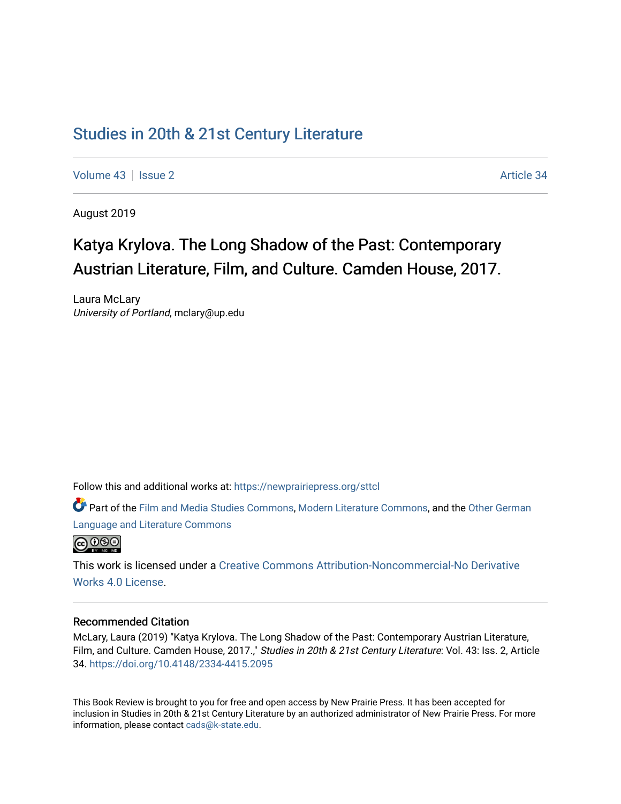## [Studies in 20th & 21st Century Literature](https://newprairiepress.org/sttcl)

[Volume 43](https://newprairiepress.org/sttcl/vol43) | [Issue 2](https://newprairiepress.org/sttcl/vol43/iss2) Article 34

August 2019

# Katya Krylova. The Long Shadow of the Past: Contemporary Austrian Literature, Film, and Culture. Camden House, 2017.

Laura McLary University of Portland, mclary@up.edu

Follow this and additional works at: [https://newprairiepress.org/sttcl](https://newprairiepress.org/sttcl?utm_source=newprairiepress.org%2Fsttcl%2Fvol43%2Fiss2%2F34&utm_medium=PDF&utm_campaign=PDFCoverPages) 

Part of the [Film and Media Studies Commons,](http://network.bepress.com/hgg/discipline/563?utm_source=newprairiepress.org%2Fsttcl%2Fvol43%2Fiss2%2F34&utm_medium=PDF&utm_campaign=PDFCoverPages) [Modern Literature Commons,](http://network.bepress.com/hgg/discipline/1050?utm_source=newprairiepress.org%2Fsttcl%2Fvol43%2Fiss2%2F34&utm_medium=PDF&utm_campaign=PDFCoverPages) and the [Other German](http://network.bepress.com/hgg/discipline/470?utm_source=newprairiepress.org%2Fsttcl%2Fvol43%2Fiss2%2F34&utm_medium=PDF&utm_campaign=PDFCoverPages)  [Language and Literature Commons](http://network.bepress.com/hgg/discipline/470?utm_source=newprairiepress.org%2Fsttcl%2Fvol43%2Fiss2%2F34&utm_medium=PDF&utm_campaign=PDFCoverPages)



This work is licensed under a [Creative Commons Attribution-Noncommercial-No Derivative](https://creativecommons.org/licenses/by-nc-nd/4.0/)  [Works 4.0 License](https://creativecommons.org/licenses/by-nc-nd/4.0/).

#### Recommended Citation

McLary, Laura (2019) "Katya Krylova. The Long Shadow of the Past: Contemporary Austrian Literature, Film, and Culture. Camden House, 2017.," Studies in 20th & 21st Century Literature: Vol. 43: Iss. 2, Article 34.<https://doi.org/10.4148/2334-4415.2095>

This Book Review is brought to you for free and open access by New Prairie Press. It has been accepted for inclusion in Studies in 20th & 21st Century Literature by an authorized administrator of New Prairie Press. For more information, please contact [cads@k-state.edu](mailto:cads@k-state.edu).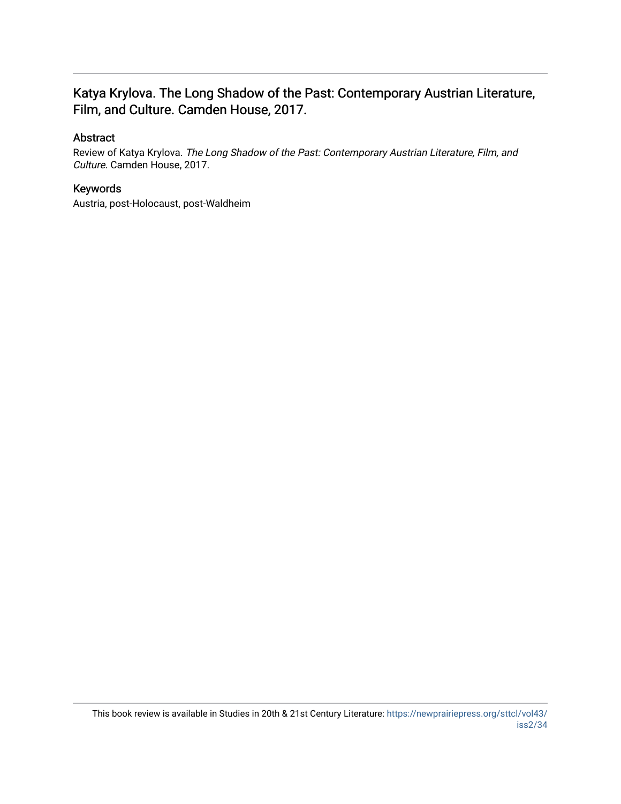### Katya Krylova. The Long Shadow of the Past: Contemporary Austrian Literature, Film, and Culture. Camden House, 2017.

### Abstract

Review of Katya Krylova. The Long Shadow of the Past: Contemporary Austrian Literature, Film, and Culture. Camden House, 2017.

### Keywords

Austria, post-Holocaust, post-Waldheim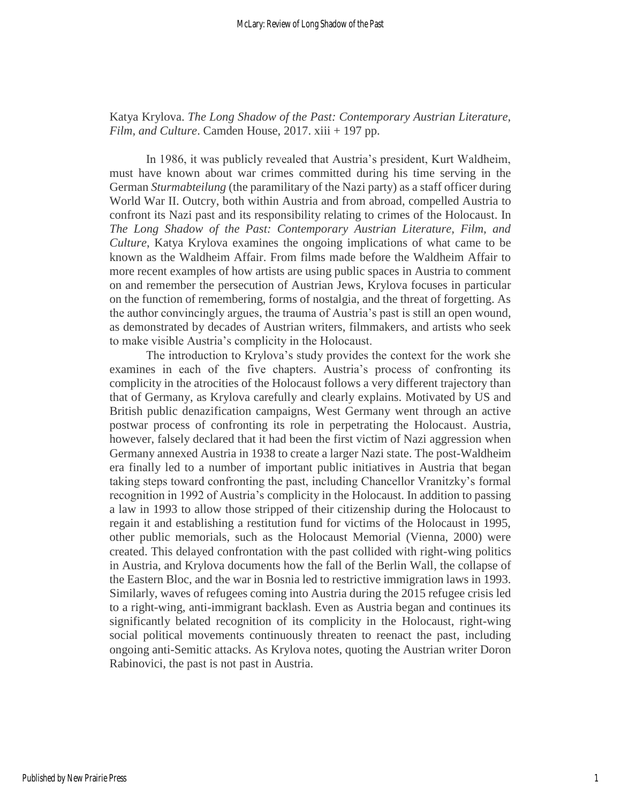### Katya Krylova. *The Long Shadow of the Past: Contemporary Austrian Literature, Film, and Culture*. Camden House, 2017. xiii + 197 pp.

In 1986, it was publicly revealed that Austria's president, Kurt Waldheim, must have known about war crimes committed during his time serving in the German *Sturmabteilung* (the paramilitary of the Nazi party) as a staff officer during World War II. Outcry, both within Austria and from abroad, compelled Austria to confront its Nazi past and its responsibility relating to crimes of the Holocaust. In *The Long Shadow of the Past: Contemporary Austrian Literature, Film, and Culture*, Katya Krylova examines the ongoing implications of what came to be known as the Waldheim Affair. From films made before the Waldheim Affair to more recent examples of how artists are using public spaces in Austria to comment on and remember the persecution of Austrian Jews, Krylova focuses in particular on the function of remembering, forms of nostalgia, and the threat of forgetting. As the author convincingly argues, the trauma of Austria's past is still an open wound, as demonstrated by decades of Austrian writers, filmmakers, and artists who seek to make visible Austria's complicity in the Holocaust.

The introduction to Krylova's study provides the context for the work she examines in each of the five chapters. Austria's process of confronting its complicity in the atrocities of the Holocaust follows a very different trajectory than that of Germany, as Krylova carefully and clearly explains. Motivated by US and British public denazification campaigns, West Germany went through an active postwar process of confronting its role in perpetrating the Holocaust. Austria, however, falsely declared that it had been the first victim of Nazi aggression when Germany annexed Austria in 1938 to create a larger Nazi state. The post-Waldheim era finally led to a number of important public initiatives in Austria that began taking steps toward confronting the past, including Chancellor Vranitzky's formal recognition in 1992 of Austria's complicity in the Holocaust. In addition to passing a law in 1993 to allow those stripped of their citizenship during the Holocaust to regain it and establishing a restitution fund for victims of the Holocaust in 1995, other public memorials, such as the Holocaust Memorial (Vienna, 2000) were created. This delayed confrontation with the past collided with right-wing politics in Austria, and Krylova documents how the fall of the Berlin Wall, the collapse of the Eastern Bloc, and the war in Bosnia led to restrictive immigration laws in 1993. Similarly, waves of refugees coming into Austria during the 2015 refugee crisis led to a right-wing, anti-immigrant backlash. Even as Austria began and continues its significantly belated recognition of its complicity in the Holocaust, right-wing social political movements continuously threaten to reenact the past, including ongoing anti-Semitic attacks. As Krylova notes, quoting the Austrian writer Doron Rabinovici, the past is not past in Austria.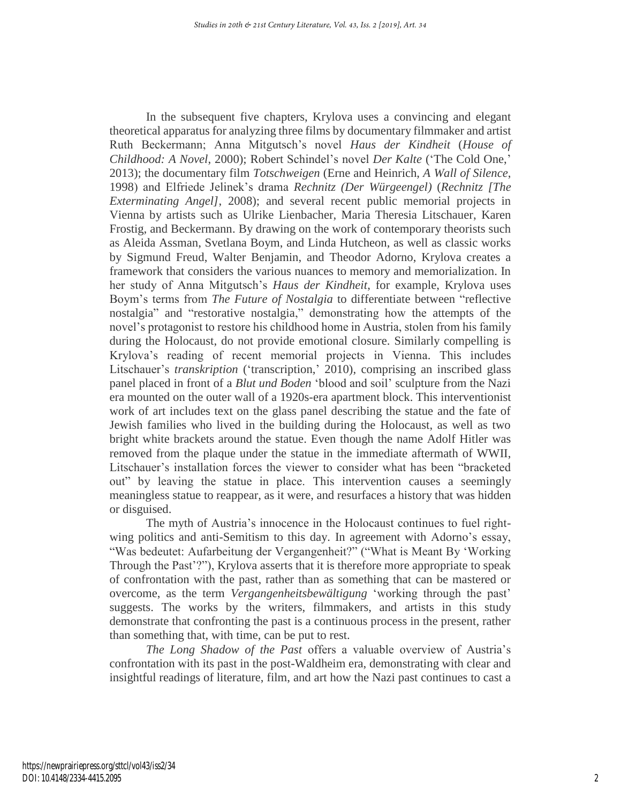In the subsequent five chapters, Krylova uses a convincing and elegant theoretical apparatus for analyzing three films by documentary filmmaker and artist Ruth Beckermann; Anna Mitgutsch's novel *Haus der Kindheit* (*House of Childhood: A Novel*, 2000); Robert Schindel's novel *Der Kalte* ('The Cold One,' 2013); the documentary film *Totschweigen* (Erne and Heinrich, *A Wall of Silence*, 1998) and Elfriede Jelinek's drama *Rechnitz (Der Würgeengel)* (*Rechnitz [The Exterminating Angel]*, 2008); and several recent public memorial projects in Vienna by artists such as Ulrike Lienbacher, Maria Theresia Litschauer, Karen Frostig, and Beckermann. By drawing on the work of contemporary theorists such as Aleida Assman, Svetlana Boym, and Linda Hutcheon, as well as classic works by Sigmund Freud, Walter Benjamin, and Theodor Adorno, Krylova creates a framework that considers the various nuances to memory and memorialization. In her study of Anna Mitgutsch's *Haus der Kindheit*, for example, Krylova uses Boym's terms from *The Future of Nostalgia* to differentiate between "reflective nostalgia" and "restorative nostalgia," demonstrating how the attempts of the novel's protagonist to restore his childhood home in Austria, stolen from his family during the Holocaust, do not provide emotional closure. Similarly compelling is Krylova's reading of recent memorial projects in Vienna. This includes Litschauer's *transkription* ('transcription,' 2010), comprising an inscribed glass panel placed in front of a *Blut und Boden* 'blood and soil' sculpture from the Nazi era mounted on the outer wall of a 1920s-era apartment block. This interventionist work of art includes text on the glass panel describing the statue and the fate of Jewish families who lived in the building during the Holocaust, as well as two bright white brackets around the statue. Even though the name Adolf Hitler was removed from the plaque under the statue in the immediate aftermath of WWII, Litschauer's installation forces the viewer to consider what has been "bracketed out" by leaving the statue in place. This intervention causes a seemingly meaningless statue to reappear, as it were, and resurfaces a history that was hidden or disguised.

The myth of Austria's innocence in the Holocaust continues to fuel rightwing politics and anti-Semitism to this day. In agreement with Adorno's essay, "Was bedeutet: Aufarbeitung der Vergangenheit?" ("What is Meant By 'Working Through the Past'?"), Krylova asserts that it is therefore more appropriate to speak of confrontation with the past, rather than as something that can be mastered or overcome, as the term *Vergangenheitsbewältigung* 'working through the past' suggests. The works by the writers, filmmakers, and artists in this study demonstrate that confronting the past is a continuous process in the present, rather than something that, with time, can be put to rest.

*The Long Shadow of the Past* offers a valuable overview of Austria's confrontation with its past in the post-Waldheim era, demonstrating with clear and insightful readings of literature, film, and art how the Nazi past continues to cast a